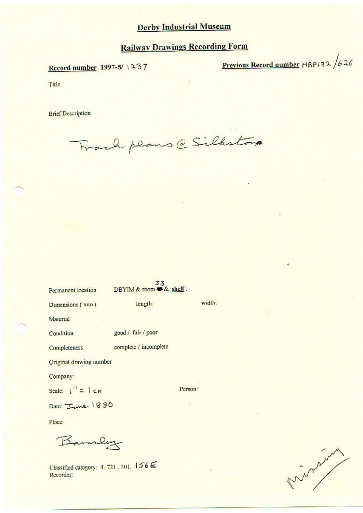# **Railway Drawings Recording Form**

Record number 1997-5/1237

Previous Record number MRP132 /626

Title

**Brief Description** 

Frach plans @ Silkston

| Permanent location              | 55<br>DBYIM & room # & shelf: |         |
|---------------------------------|-------------------------------|---------|
| Dimensions (mm)                 | length:                       | width:  |
| Material                        |                               |         |
| Condition                       | good / fair / poor            |         |
| Completeness                    | complete / incomplete         |         |
| Original drawing number         |                               |         |
| Company:                        |                               |         |
| Scale: $\int_{0}^{1} = \int cH$ |                               | Person: |
| Date: June 1880                 |                               |         |
| Place:                          |                               |         |
|                                 |                               |         |

Classified category: 4, 721, 301, 156E Recorder:

Miller Company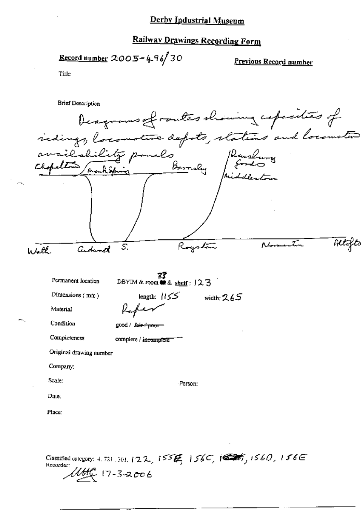### **Railway Drawings Recording Form**

Record number  $2005 - 496$  30

Previous Record number

Title

**Brief Description** Deagrams of routes showing coperaties of indings, locomotive depots, stations and locometer availability pounds Barrely Pearling Altofts ystan ሊሩ R S. Cedward  $4.4$ **37**<br>DBYIM & room **to** & shelf:  $123$ Permanent location Dimensions (mm) length:  $155$ width:  $265$ Material Condition good / fair f poor Completeness complete / incomplete Original drawing number Company: Scale: Person: Date: Place:

Classified category: 4, 721, 301, 122, 155  $H$  156C, 150T, 1560, 156E Recorder:  $M_{\rm H}^{\rm H}$  17-3-2006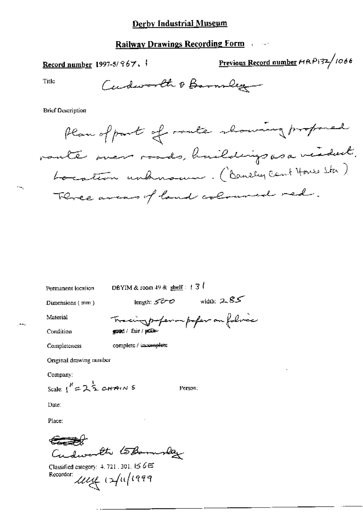### **Railway Drawings Recording Form Fig. 1.1.1.**

Record number 1997-5/ $967.$ 

Previous Record number HRP132/1066

Title

Cudworth & Barnsley

**Brief Description** 

Plan of part of route showing proposed vaute men roads, huildings as a vedert. Location unhnown. (Banchy Cant House Sta) Three areas of land coloured red.

Permanent location

DBYIM & room 49 & shell:  $\pm 3$ 

Dimensions (mm)

length:  $500$  width:  $2.85$ 

Material

Tracing professor profess on followed

Condition

 $\overline{a}$ 

spood / fair / poole-

Completeness

complete / incomplete

Original drawing mimber

Company:

Scale:  $1^k = 2\frac{1}{2}$  chains

Person:

Date:

Place:

Cudworth toBannoley

Classified category:  $4, 721, 301, 156 \times$ Recorder: 1114 12/11/1999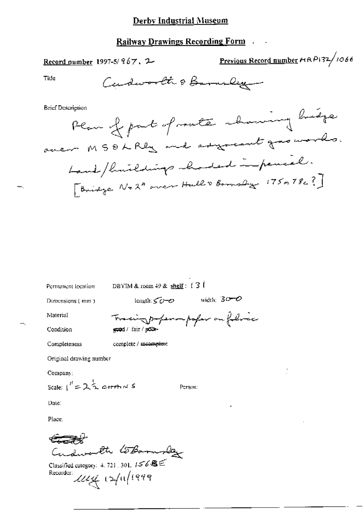# **Railway Drawings Recording Form**

Record number 1997-5/967, 2

Previous Record number HRP132/1066

ليم

 $\rho$ 

Title

œ,

**Brief Description** 

Permanent location

DBYIM & room  $49$  & shelf:  $13$ 

Dimensions (mm)

length:  $50 - 8$  width:  $30 - 8$ 

Material

ingo-permpoper on folice  $\overline{r}$ ecod / fair / police-

Condition

Completeness

complete / mcomplete

Original drawing number

Company:

Scale:  $\int_0^t = 2\frac{1}{2}$  cherence 5

Person:

Date:

Place:

Cudworth toBornslay

Classified category: 4, 721, 301,  $1568E$ Recorder:  $\mathcal{U}\mathcal{U}\mathcal{U}$  12/11/1999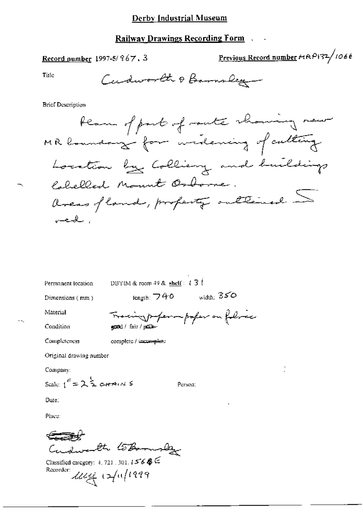### **Railway Drawings Recording Form**

Record number 1997-5/967, 3

Previous Record number #RP132/1066

Title

Cudworth & Barnsley

**Brief Description** 

Permanent location

DBYIM & room 49 & shelf:  $t \overline{3}$  (

Dimensions (mm)

 $length: 740$  width:  $350$ 

Material

cing paper on forma folice  $^{-}$ ۲۲ good / fair / pool-

Condition

Completeness

complete / incomplete

Original drawing number

Company:

Scale:  $1^{\prime\prime} = 2\frac{1}{2}$  carriers 5

Person:

Date:

Place:

Cudwarth toBornslag

Classified category: 4, 721, 301,  $1568 \leq$ Recorder 2004 12/11/1999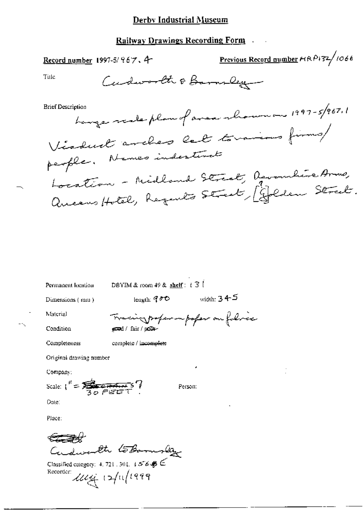#### **Railway Drawings Recording Form**

Previous Record number HRP132/1066 Record number 1997-5/967.4 Cudworth & Barnsley Title hange weaker plan of avea who was 1997-5/967,1 **Brief Description** Viaduct arches let torains firms/ people. Names indestent Location - Midland Street, Arombire Armo,<br>Aucens Hotel, Regents Street, Golden Street. DBYIM & room 49 & shelf:  $\pm 3$ Permanent location leagth:  $90^\circ$  width:  $345^\circ$ Dimensions (mm) Material Tracing proper on poper on folice Condition exed / fair / poor-Completeness complete / incomplete Original drawing number Company: Scale:  $I'' = \frac{1}{30} \frac{1}{\sqrt{25}} = 7$ Person: Date: Place:

€⊐₩ Cudwarth toBannslay

Classified category: 4, 721 , 301,  $+568 \leq$ Recorder: 1114 12/11/1999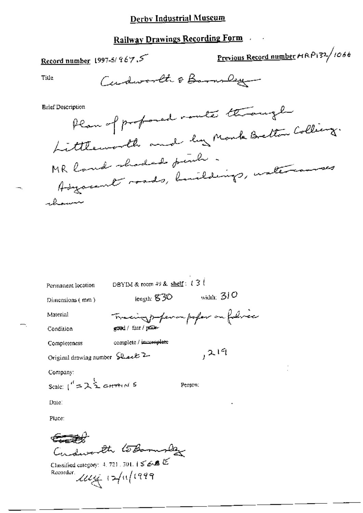# **Railway Drawings Recording Form**

Previous Record number HRP132/1066 Record number 1997-5/967.5 Cudworth & Barn Deg **Title** Plan of proposed rante through **Brief Description** Littleworth and by Monk Betton Colling. MR land shaded funch Adyacent roads, buildings, untercourses ahour

| Permanent location                             | DBYIM & room 49 & shelf: $13!$ |                          |
|------------------------------------------------|--------------------------------|--------------------------|
| Dimensions (mm)                                | length: 830                    | width: $300$             |
| Material                                       |                                | Tracing paper on falsice |
| Condition                                      | essed / fair / po≦0e∽          |                          |
| Completeness                                   | complete / incomplete          |                          |
| Original drawing number Sheet 2                |                                | 219                      |
| Company:                                       |                                |                          |
| Scale: $I^d = 2 \sum_{i=1}^{k} c_i H^d \cap N$ |                                | Person:                  |
| Date∶                                          |                                |                          |
| Place:                                         |                                |                          |
|                                                |                                |                          |

इट्ट्व्ह्यूट Cudworth toBornslag

Classified category: 4, 721, 301,  $1 \leq 6.8$ Recorder  $\mathcal{U}\mathcal{U}$   $\rightarrow$   $(1999)$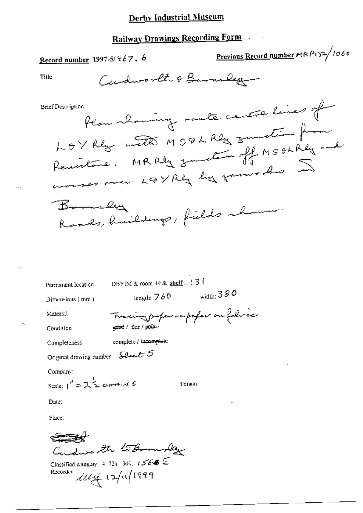# Railway Drawings Recording Form

Cudworth & Barnsley

Plan showing route centre lines of **Brief Description** LOY Rey with MSQL Rey sunstin from Remistance. MRRly zumsten off MSOLRly and worses over LEVREY by family has Bornally Roads, huildings, fields whome DBYIM & room 49 & shelf:  $13$ Permanent lecation length:  $760$  width:  $380$ Dimensions (mm) Tracing paper on poper on folice Material essed / fair / politic Condition complete / incomplete Completeness Original drawing number Level 5 Company: Scale:  $1^{n} = \lambda^{\frac{1}{2}}$  chrain 5 Person: Date: Place: Cudworth toBomslay

Classified category: 4, 721, 301,  $15666 \subseteq$ Recorder: 11/14 12/11/1999

Previous Record number MRP132/1066

Title

<u>Record number</u> 1997-5/ $967.6$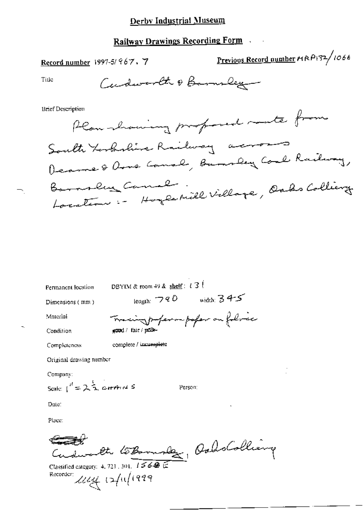# Railway Drawings Recording Form

Record number 1997-5/967, 7

Previous Record number MRP132/1066

Title

Cudworth & Barnsley

**Brief Description** 

Plan having professed mate from South terbelieve Railway across Dearne & Orno Camal, Bunsley Coal Railway, Location :- Hoycerill Village, Oaks Colliery Barnsley Canal

Permanent location

DBYIM & room 49 & shelf:  $t \in 3$  (

Dimensions (mm)

length:  $790$  width:  $345$ 

Material

Completeness

Tracing paper on folice eged / fair / pros-

Condition

complete / incumplete

Original drawing number

Company:

Scale:  $1^{\prime\prime} = 2\frac{1}{2}$  carried 5

Person:

Date:

Place:

Cudwarth to Bonnoles dellarge

Recorder: 2004 12/11/1999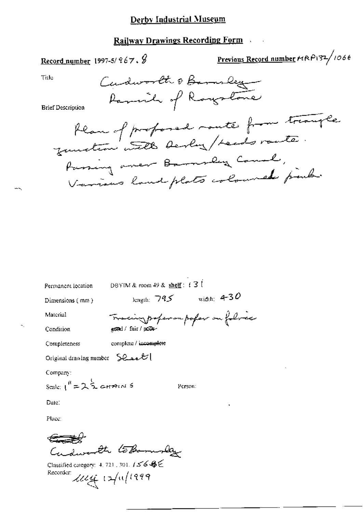#### **Railway Drawings Recording Form**

Previous Record number HRP132/1066 Record number 1997-5/ $967.$ Cudworth & Bannes Title Parish of Roystone **Brief Description** blan of profored route from trangle Passing aver Barnsley Canal, Various land plats coloured parts

DBYIM & room 49 & shelf:  $13$ Permanent location length:  $745$  width: 4-30 Dimensions (mm) Tracing proper on poper on follow Material ested / fair / polle-Condition complete / incomplete Completeness Original drawing number  $\sum Q_{\text{max}} U$ Company: Scale:  $1^{16} = 2\frac{1}{2}$  changes Person: Date: Place:

Cudworth toBomby

Classified category: 4, 721, 301,  $156666$ Recorder: 2004 12/11/1999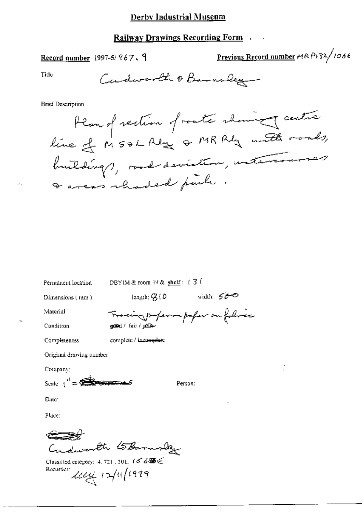#### **Railway Drawings Recording Form**

### Record number 1997-5/ $967.9$

Previous Record number MRP132/1066

Title

Cudworth & Barnsley

**Brief Description** 

Plan of rection of route channing centre buildings, road-deviation, withrowsers I areas rhaded puch

Permanent location

DBYIM & room  $49$  & shelf:  $1\overline{3}$  (

Dimensions  $($  mm $)$ 

Tracing proper on poper on followed

length;  $Q(0)$  width:  $500$ 

Condition

Completeness

Material

complete / incomplete

epod / fair / post-

Original drawing number

Company:

Scale  $\frac{1}{1}$  =  $\frac{1}{\sqrt{2}}$ 

Person:

Date:

Place:

Cudworth toBornslag

Classified category: 4, 721, 301,  $156$ Recorder:  $\mathcal{U}\mathcal{U}$   $\mathcal{U}$   $\rightarrow$   $(1)$   $(222)$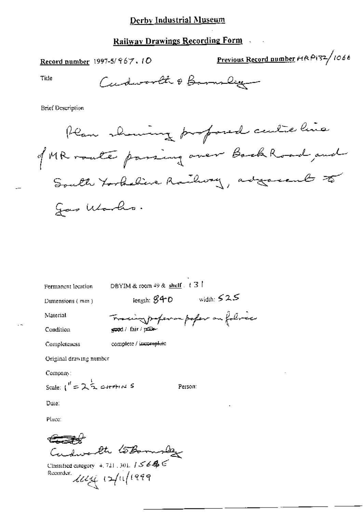## Railway Drawings Recording Form

Record number 1997-5/ $967.10$ 

Previous Record number HRP132/1066

Title

Cudworth & Bannoley

**Brief Description** 

Ran showing proposed culte line of MR route passing over Book Road and South Torkeline Railway, adjacent to gas Warks.

Permanent location

DBYIM & room 49 & shelf. t 3

Dimensions (mm)

 $i$ ength:  $840$  width:  $525$ 

Material

Condition

Completeness

Tracing paper on poper on followed gread / fair / police

complete / incomplete

Original drawing number

Company:

Scale:  $1^{\prime\prime} = 2\frac{1}{2}$  cHAINS

Person:

Date:

Place:

Cudwerth toBornslay

Classified category 4, 721, 301,  $1 \leq 6$  & Recorder  $\mathcal{U}\mathcal{U} \in \mathcal{U}$  (2/11/1999)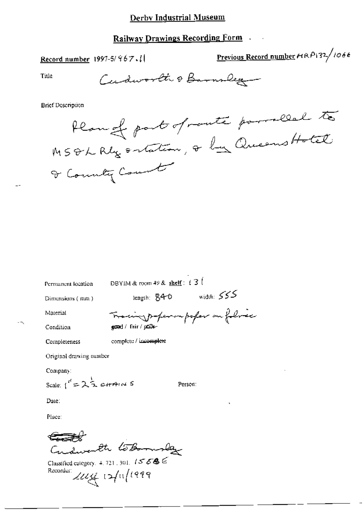### Railway Drawings Recording Form

Record number 1997-5/867.1

Previous Record number HRP132/1066

Title

Cudworth & Barnsley

**Brief Description** 

Plan of part of route parrolled to & County Count

Permanent location

DBYIM & room 49 & shelf:  $\ell$  3  $\ell$ 

Dimensions (mm)

length:  $840$  width:  $555$ 

Material

Completeness

cing paper on poper on folice good / fair / police-

Condition

complete / imcomplete

Original drawing number

Company:

Scale:  $1^{n} = 2\frac{1}{2}$  catains 5

Person:

Date:

Place:

Cudwesth tobornslag

Classified category,  $4, 721, 301, 1558$ Recorder:  $2u + 12u(1999)$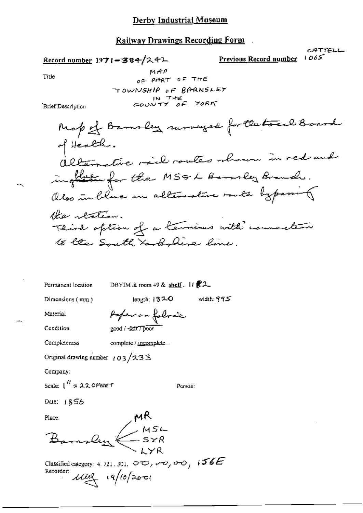#### Railway Drawings Recording Form

Record number 1971-384/スイエ

 $1065$ Previous Record number

CATTELL

Tiue

 $MAP$ OF PART OF THE TOWNSHIP OF BARNSLEY IN THE YORK

**Brief Description** 

Map of Bamsley runneyed for the touch Board of Health. I returnative rail routes aboun in red and inghase for the MS&L Barnley Branch. also in blue in alternative route bypassing Ha rention. Third option of a termines with counseleon to the South to behind line.

width: 995

DBYIM & room 49 & shelf.  $\mathcal{U}$   $\mathcal{Z}$   $\mathcal{Z}$ Permanent location

Person:

 $length: 132.0$ 

Dimensions (mm)

Material

Condition

Paper on folocie eood / fait / poor

Completeness

complete / incomplete...

Original drawing number  $103/233$ 

Company:

Scale: 
$$
1'' = 220 \text{ F} \text{C} \text{C} \text{T}
$$

Date:  $1856$ 

Place:

 $\frac{MR}{SSR}$ 

Classified category: 4, 721, 301,  $\sigma \infty$ ,  $\sigma \infty$ ,  $\sigma \infty$ ,  $\sigma \in \mathcal{S}$ Recorder: 11112 19/10/2001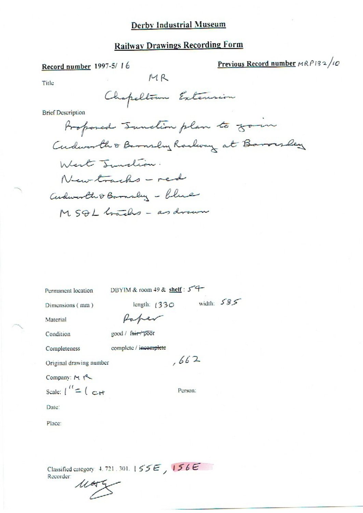## **Railway Drawings Recording Form**

Record number 1997-5/16

Previous Record number  $MRPI32/10$ 

Title

Chapeltown Extension

 $MR$ 

**Brief Description** 

Proposed Tunction plan to go in Cudworth & Barnsley Rachway at Barry When I Indian. New tracks - red Cudworth & Barnsley - blue MSQL Grachs - as drawn

Permanent location

DBYIM & room 49 & shelf: 54

Dimensions (mm)

length:  $(330 \text{ width: } 585)$ 

Material

Raber good / fair poor

Condition

Completeness

complete / incomplete  $,662$ 

Original drawing number

Company: M Scale:  $\int_{0}^{1}$  =  $\int_{0}^{1}$  =  $\int_{0}^{1}$ 

Person:

Date:

Place:

Classified category 4.721.301.155E, 156E Recorder:

 $1142$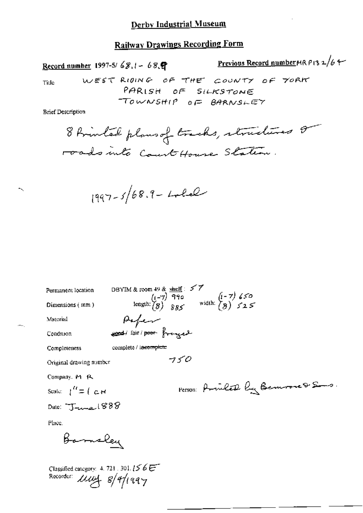### **Railway Drawings Recording Form**

**Previous Record number MR P13 2/6 4-**Record number 1997-5/68,1 - 68. WEST RIDING OF THE COUNTY OF YORK Title

**Brief Description** 

8 Avintal plans of tracks, structures or roads into Court House Station.

PARISH OF SILKSTONE TOWNSHIP OF BARNSLEY

$$
1997 - 5/68.9 - L_{\text{2}}
$$

DBYIM & room 49 & shelf: 57<br>  $(i-\overline{7})$  990<br>
length:  $(8)$  885<br>
width:  $(8)$  525 Permanent location Dimensions (mm) Pefer Material sond lair poor frought Condition complete / incomplete Completeness  $750$ Original drawing number Company, M R Person: Prince By Bennove & Sons. Scale:  $\int_0^R \equiv \int_C d\mathbf{r} d\mathbf{r}$ 

Place.

Barnsley

Date:  $T_{tunc}$  888

Classified category:  $4, 721, 301, 156$ Recorder: *LLW*4 8/9/1997

 $-$ ...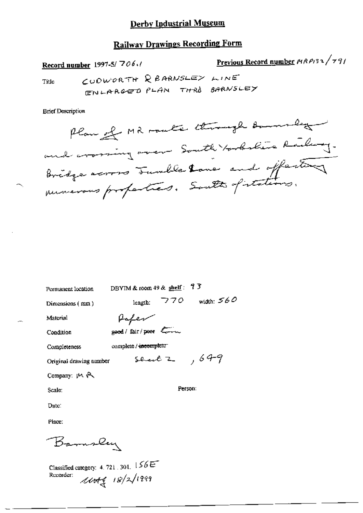### **Railway Drawings Recording Form**

Previous Record number 1989132/791 Record number 1997-5/706./ CUDWORTH REARNSLEY LINE Title ENLARGED PLAN THRO BARNSLEY

**Brief Description** 

Plan el MR route through Barnett and crossing over South torbelie Railway. Bridge across Fundle lane and offerting

| Permanent location       | DBYIM & room 49 & $\frac{\text{shell}}{2}$ : 7 3 |     |                  |
|--------------------------|--------------------------------------------------|-----|------------------|
| Dimensions (mm)          | length:                                          | 770 | width: $560$     |
| Material                 | Hoper                                            |     |                  |
| Condition                | good/fair/poor Commun                            |     |                  |
| Completeness             | complete / incomplete                            |     |                  |
| Original drawing number  |                                                  |     | sent $2$ , $649$ |
| Company: $M \rightarrow$ |                                                  |     |                  |
| Scale:                   |                                                  |     | Person:          |
| Date:                    |                                                  |     |                  |
| Place:                   |                                                  |     |                  |

Barnsley

Classified category: 4, 721, 301,  $156E$  $10049$   $18/2/1999$ Recorder: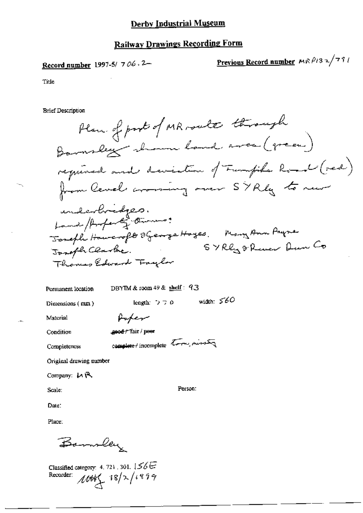### **Railway Drawings Recording Form**

Record number 1997-5/ 706.2-

Previous Record number  $M \wedge \beta$ 132/791

Title

**Brief Description** 

Plan of post of MR route through Barnsley shown hand area (green) required and deviation of Funfiles Road (red)<br>from level aroming over SYRly to new underbridges.<br>Land / Arferty Owners: Joseph Howeroft SGeorge Hoyes. Many Ann Payne Joseph Clarke. SYRly & Rever Dun Co<br>Thomas Edward Faylor Joseph Clarke.

Permanent location

DBYIM & room 49 & shelf: 93

Dimensions  $(mm)$ 

width:  $560$ length:  $2.7.0$ 

Material

Condition

geed / Tair / peer

Completeness

complete / incomplete tors, missing

Poper

Original drawing number

Company: LA 民

Scale:

Person:

Date: Place:

Barnsley

Classified category: 4, 721, 301,  $156E$ Recorder:  $\mathcal{M}_{\mathscr{C}}$  18/2/1999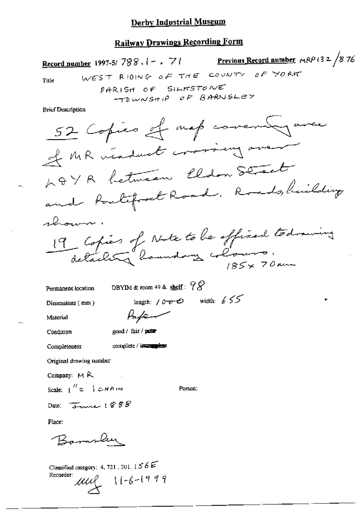# **Railway Drawings Recording Form**

Record number 1997-5/788.1 - . 71 Previous Record number  $\mu$ RP (32/876) WEST RIDING OF THE COUNTY OF YORK Title PARISH OF SILKSTONE TOWNSHIP OF BARNISLEY **Brief Description** 52 Copies et map corenad avec of MR viaduat crossing over

LOYA between Eldon Street and fourtified Road, Roads, building

shown. 19 Copies of Note to be official todraining detailet "houndary colours.  $185\times70$  rm

DBYIM & room 49 & shelf:  $98$ Permanent location length:  $10000$  width:  $655$ Dimensions (mm) Paper Material

Condition

good / fair / power

Completeness

complete / investigatese

Original drawing number

Company:  $M R$ 

Person:

Date:  $\overline{3}$ une 1888

Scale:  $\int_1^{H}$  = 1  $CHAIN$ 

Place:

Bamber

Classified category: 4, 721, 301,  $156E$ Recorder:  $ULL 11-6-1999$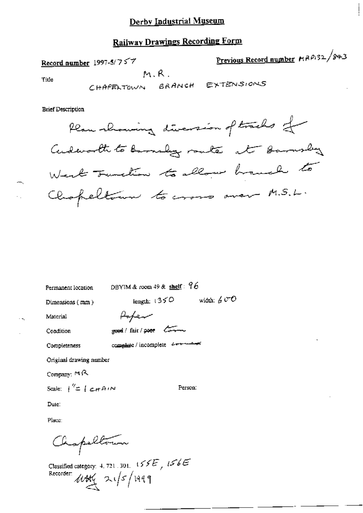## **Railway Drawings Recording Form**

Record number 1997-5/7 $57$  $M.R.$ 

Previous Record number MRP132/843

Title

CHAPENTOWN BRANCH EXTENSIONS

**Brief Description** 

Plan showing diversion of tracks for Cudeworth to be madage route at barnslag West Tunction to allow handle to Chapeltown to cross over M.S.L.

| Permanent location                            | DBYIM & room 49 & shelf: 96      |              |
|-----------------------------------------------|----------------------------------|--------------|
| Dimensions $(mn)$                             | length: $1350$                   | width: $600$ |
| Material                                      | Rofer                            |              |
| Condition                                     | good / fair / poor Com           |              |
| Completeness                                  | complete / incomplete derivation |              |
| Original drawing number                       |                                  |              |
| Company: ロス                                   |                                  |              |
| Scale: $\int^{\prime\prime} = \int c \pi A/N$ | Person:                          |              |

Date:

Place:

Chapeltons

Classified category: 4, 721, 301,  $155E$ ,  $156E$ Recorder *W*HY 21/5/1999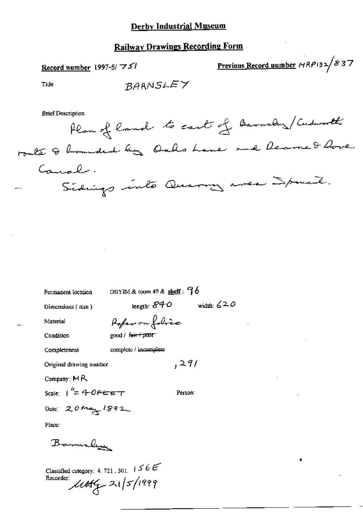## **Railway Drawings Recording Form**

Previous Record number  $MRP(32/837)$ Record number 1997-5/ $75$ BARNSLEY Title **Brief Description** Plan of land to carts of Barneling/Cudworth roate & hounded by Oaks Lane and Reamed Rove Caral. Sidings into Quarry wer Space. DBYIM & room 49 & shelf:  $96$ Permanent location length:  $840$ width:  $620$ 

Dimensions (mm)

Material

Paper on folice good / fair / poor

Condition

Completeness

complete / incomplete

Original drawing number

Company: MR

Scale:  $\frac{h}{c}$  + OFEET

Person:

 $.291$ 

Place:

Barnsley

Date: 20 May 1892

Classified category: 4, 721, 301,  $\frac{1}{5}$  6  $\epsilon$ Recorder:  $\mu$ tt  $\frac{1}{2}$  21/5/1999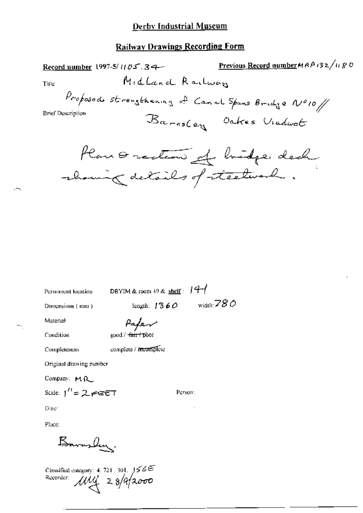### **Railway Drawings Recording Form**

Previous Record number  $MAP$  (32/1180 Record number 1997-5/1105.34-Midland Railwan Title Proposeds strengthening of Canal Spans Bridge Nº10/ **Brief Description** Barnsley Oakes Viadwat Plan & rection of bridge deck showing details of steelward.

Permanent location

DBYIM & room  $+9$  & shelf:  $14-$ 

Person:

Dimensions (mm)

length:  $1360$  width:  $780$ 

Material

Paper

Condition

Completeness

good / fair / poor complete / meomplete

Original drawing number

Company: M.A.

Scale:  $1'' = 2.7527$ 

Date:

Place:

Barrylen.

Classified entegory: 4.721.301. 156E<br>Recorder:  $MN_1^2$  2.8/9/2000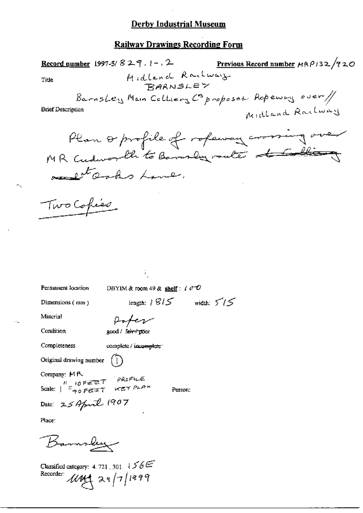### **Railway Drawings Recording Form**

Previous Record number  $\mu \beta \rho$ /32/720 **Record number** 1997-5/  $829$ ,  $1 - 2$ Midland Railway Title BarnsLey Main Colliery Copposed Repending over / Midland Railway **Brief Description** Plan or profile of ropeway crossing over MR Cudworth to Banner mate of Colling relate and home. Two Cohies Ŷ. Permanent location DBYIM & room 49 & shelf:  $\ell$   $\sigma$   $\mathcal{O}$ length:  $1815$  width:  $515$ Dimensions (mm) Material Poter Condition good / fair / poor Completeness complete / incomplete" Original drawing number Company: MR Scale:  $\begin{array}{ccc} \n\cdot & \cdot & \cdot \\
\hline\n\end{array}$ <br>Scale:  $\begin{array}{ccc}\n\cdot & \cdot & \cdot \\
\vdots & \vdots & \vdots \\
\uparrow & \cdot & \cdot \\
\uparrow & \cdot & \cdot\n\end{array}$  we what Person: Date: 25 April 1907 Place: Banner Classified category: 4.721.301.  $156E$ Recorder  $1442 \times 17/1999$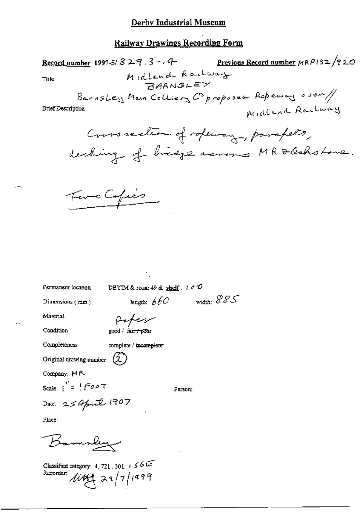### **Railway Drawings Recording Form**

Previous Record number MRP132/920 Record number 1997-5/  $829$ ,  $3 - 4$ Midlend Railway Title **RARNSLEY** BarnsLey Main Colliers Coproposed Repensy over // Midland Railway Brief Description Cross section of ropeway, parapets, decking of hidge across MR & Oakstone.

Five Copies

Permanent location

DBYIM & room 49 & shelf:  $i \in \mathcal{O}$ 

Dimensions (mm)

length:  $660$  width:  $885$ Rober

Material

Condition

good / fair / poor

Completeness

complete / incomplete

Company: MR

Scale:  $i' = 1$  Foot

Person:

Date: 25 April 1907

Original drawing number  $(\hat{\mathcal{L}})$ 

Place:

Barnsley

Classified category: 4, 721, 301,  $1.56$ Recorder:  $1184$  29/7/1999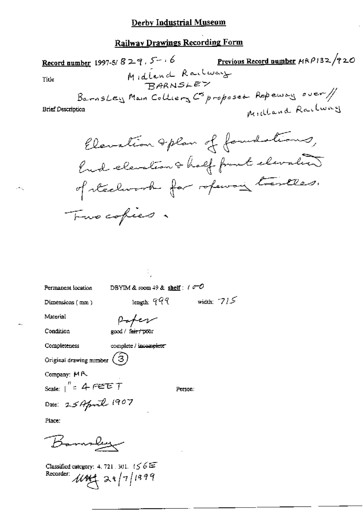# **Railway Drawings Recording Form**

Record number 1997-5/829, 5-16 Previous Record number  $HRP132/720$ Midland Railway Title BarnsLey Main Colliery Coproposed Repensy over / Midland Railway **Brief Description** 

Permanent location

DBYIM & room 49 & shelf :  $\ell$   $\sigma$  -O

length:  $999$ 

Dimensions (mm)

width:  $715$ 

Material

Paper

Condition

Completeness

good / fair / poor complete / incomplete

Original drawing number  $(3)$ 

Company: MR

Scale:  $\int_{0}^{\pi}$  = 4  $\in$  EET

Person:

Place.

Banney

Date: 25 April 1907

Classified category: 4, 721 , 301,  $156E$ Recorder:  $1444 \times 28/7/1999$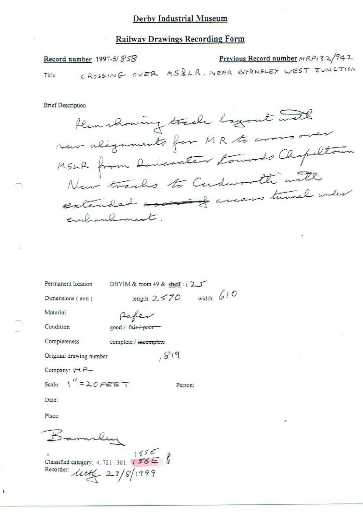#### **Railway Drawings Recording Form**

Previous Record number MRPI32/942 Record number 1997-5/858 CROSSING OVER MS. R.R. NEAR BARNSLEY WEST JUNCTION Title

**Brief Description** 

Plan showing track logout with MSLR from Doncoater towards Chapeltour New tracks to Cudworth with extended access turnel under embranhment.

Permanent location

DBYIM & room 49 & shelf: 125 length:  $2570$  width:  $610$ 

 $819$ 

Dimensions (mm)

Material

Condition

Completeness

Paper good / fair / poor

complete / incomplete

Original drawing number

Company: VCR

Scale:  $1'' = 20$  FEET

Person:

Date:

Place:

١

R-malu Classified category: 4.721.301.  $1555$ <br>Recorder:

Recorder:  $\text{ltttf} = 27/8/1999$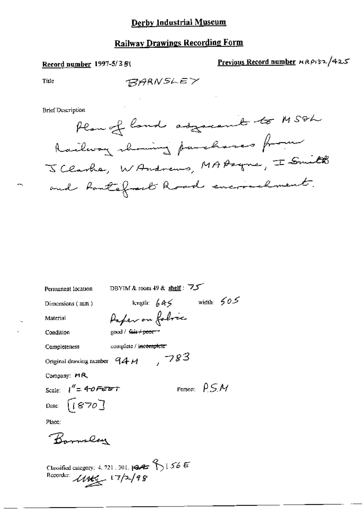### **Railway Drawings Recording Form**

#### Record number 1997-5/38(

Previous Record number MRP132/425

Title

BARNSLEY

**Brief Description** 



| Permanent location            | DBYIM & room 49 & shelf: フェ         |     |                         |
|-------------------------------|-------------------------------------|-----|-------------------------|
| Dimensions (mm)               | length: $645$                       |     | width: $65$             |
| Material                      | Paper on foloic                     |     |                         |
| Condition                     | good / fair+poor+                   |     |                         |
| Completeness                  | complete / i <del>ncomplete /</del> |     |                         |
| Original drawing number $94M$ |                                     | 783 |                         |
| Company: MR                   |                                     |     |                         |
| Scale: $l'' = 40$ FEBT        |                                     |     | Person: $\rho \leq \mu$ |
| Date: $[1870]$                |                                     |     |                         |
| Place:                        |                                     |     |                         |
| Barnsley                      |                                     |     |                         |
|                               |                                     |     |                         |

Classified category: 4, 721, 301, 124 1 1 56 E<br>Recorder:  $\mathcal{U}\mathcal{U}\leftarrow$  1 7/2/9 8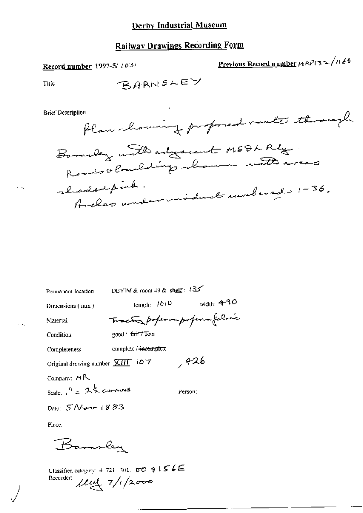### **Railway Drawings Recording Form**

Record number 1997-5/ 1031

Previous Record number 
$$
\mu \frac{R}{1.3} \sim \frac{1160}{1.5}
$$

Title

**Brief Description** 



| Permanent location                         |                                |                | DBYIM & room 49 & shelf: $135$ |              |
|--------------------------------------------|--------------------------------|----------------|--------------------------------|--------------|
| Dimensions (mm)                            |                                | length: $1010$ |                                | width: $490$ |
| Material                                   |                                |                | Tractor poperampoferm folice   |              |
| Condition                                  | good / <del>fair / p</del> oor |                |                                |              |
| Completeness                               | complete / incomplete          |                |                                |              |
| Original drawing number $\frac{1}{2}$ (107 |                                |                | ,426                           |              |
| Company: $M\mathcal{R}$                    |                                |                |                                |              |
| Scale: $1^{(t)} = 2\frac{1}{2}$ carriers   |                                |                | Person:                        |              |
| Date: 5 Never 1883                         |                                |                |                                |              |
| Place.                                     |                                |                |                                |              |

Barnsley

Classified category: 4, 721, 301,  $\sigma \phi \in \mathcal{S} \subseteq \mathcal{S}$ Recorder:  $\mu$   $\approx$  7/1/2000